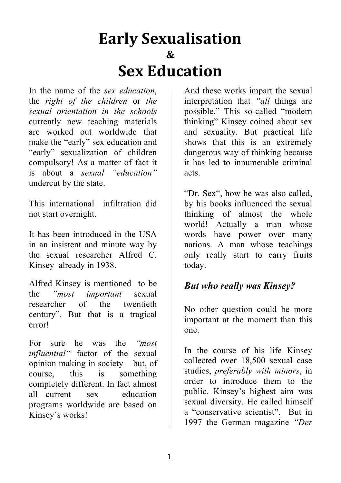# **Early&Sexualisation & Sex&Education**

In the name of the *sex education*, the *right of the children* or *the sexual orientation in the schools* currently new teaching materials are worked out worldwide that make the "early" sex education and "early" sexualization of children compulsory! As a matter of fact it is about a *sexual "education"* undercut by the state.

This international infiltration did not start overnight.

It has been introduced in the USA in an insistent and minute way by the sexual researcher Alfred C. Kinsey already in 1938.

Alfred Kinsey is mentioned to be the *"most important* sexual researcher of the twentieth century". But that is a tragical error!

For sure he was the *"most influential"* factor of the sexual opinion making in society – but, of course, this is something completely different. In fact almost all current sex education programs worldwide are based on Kinsey´s works!

And these works impart the sexual interpretation that *"all* things are possible." This so-called "modern thinking" Kinsey coined about sex and sexuality. But practical life shows that this is an extremely dangerous way of thinking because it has led to innumerable criminal acts

"Dr. Sex", how he was also called, by his books influenced the sexual thinking of almost the whole world! Actually a man whose words have power over many nations. A man whose teachings only really start to carry fruits today.

#### *But who really was Kinsey?*

No other question could be more important at the moment than this one.

In the course of his life Kinsey collected over 18,500 sexual case studies, *preferably with minors*, in order to introduce them to the public. Kinsey's highest aim was sexual diversity. He called himself a "conservative scientist". But in 1997 the German magazine *"Der*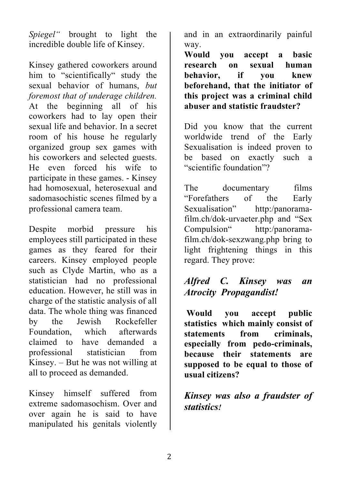*Spiegel"* brought to light the incredible double life of Kinsey.

Kinsey gathered coworkers around him to "scientifically" study the sexual behavior of humans, *but foremost that of underage children.* At the beginning all of his coworkers had to lay open their sexual life and behavior. In a secret room of his house he regularly organized group sex games with his coworkers and selected guests. He even forced his wife to participate in these games. - Kinsey had homosexual, heterosexual and sadomasochistic scenes filmed by a professional camera team.

Despite morbid pressure his employees still participated in these games as they feared for their careers. Kinsey employed people such as Clyde Martin, who as a statistician had no professional education. However, he still was in charge of the statistic analysis of all data. The whole thing was financed by the Jewish Rockefeller Foundation, which afterwards claimed to have demanded a professional statistician from Kinsey. – But he was not willing at all to proceed as demanded.

Kinsey himself suffered from extreme sadomasochism. Over and over again he is said to have manipulated his genitals violently and in an extraordinarily painful way.

**Would you accept a basic research on sexual human behavior, if you knew beforehand, that the initiator of this project was a criminal child abuser and statistic fraudster?** 

Did you know that the current worldwide trend of the Early Sexualisation is indeed proven to be based on exactly such a "scientific foundation"?

The documentary films "Forefathers of the Early Sexualisation" http:/panoramafilm.ch/dok-urvaeter.php and "Sex Compulsion" http:/panoramafilm.ch/dok-sexzwang.php bring to light frightening things in this regard. They prove:

#### *Alfred C. Kinsey was an Atrocity Propagandist!*

 **Would you accept public statistics which mainly consist of statements from criminals, especially from pedo-criminals, because their statements are supposed to be equal to those of usual citizens?**

#### *Kinsey was also a fraudster of statistics!*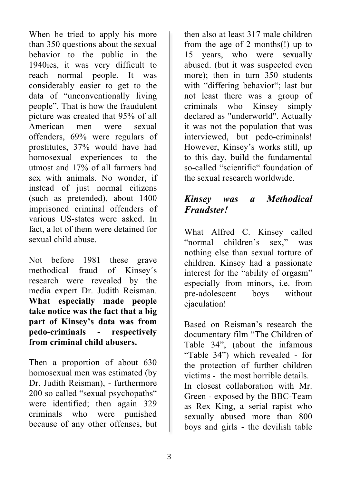When he tried to apply his more than 350 questions about the sexual behavior to the public in the 1940ies, it was very difficult to reach normal people. It was considerably easier to get to the data of "unconventionally living people". That is how the fraudulent picture was created that 95% of all American men were sexual offenders, 69% were regulars of prostitutes, 37% would have had homosexual experiences to the utmost and 17% of all farmers had sex with animals. No wonder, if instead of just normal citizens (such as pretended), about 1400 imprisoned criminal offenders of various US-states were asked. In fact, a lot of them were detained for sexual child abuse.

Not before 1981 these grave methodical fraud of Kinsey´s research were revealed by the media expert Dr. Judith Reisman. **What especially made people take notice was the fact that a big part of Kinsey's data was from pedo-criminals - respectively from criminal child abusers.**

Then a proportion of about 630 homosexual men was estimated (by Dr. Judith Reisman), - furthermore 200 so called "sexual psychopaths" were identified; then again 329 criminals who were punished because of any other offenses, but then also at least 317 male children from the age of 2 months(!) up to 15 years, who were sexually abused. (but it was suspected even more); then in turn 350 students with "differing behavior"; last but not least there was a group of criminals who Kinsey simply declared as "underworld". Actually it was not the population that was interviewed, but pedo-criminals! However, Kinsey's works still, up to this day, build the fundamental so-called "scientific" foundation of the sexual research worldwide.

#### *Kinsey was a Methodical Fraudster!*

What Alfred C. Kinsey called "normal children's sex," was nothing else than sexual torture of children. Kinsey had a passionate interest for the "ability of orgasm" especially from minors, i.e. from pre-adolescent boys without ejaculation!

Based on Reisman's research the documentary film "The Children of Table 34", (about the infamous "Table 34") which revealed - for the protection of further children victims - the most horrible details. In closest collaboration with Mr. Green - exposed by the BBC-Team as Rex King, a serial rapist who sexually abused more than 800 boys and girls - the devilish table